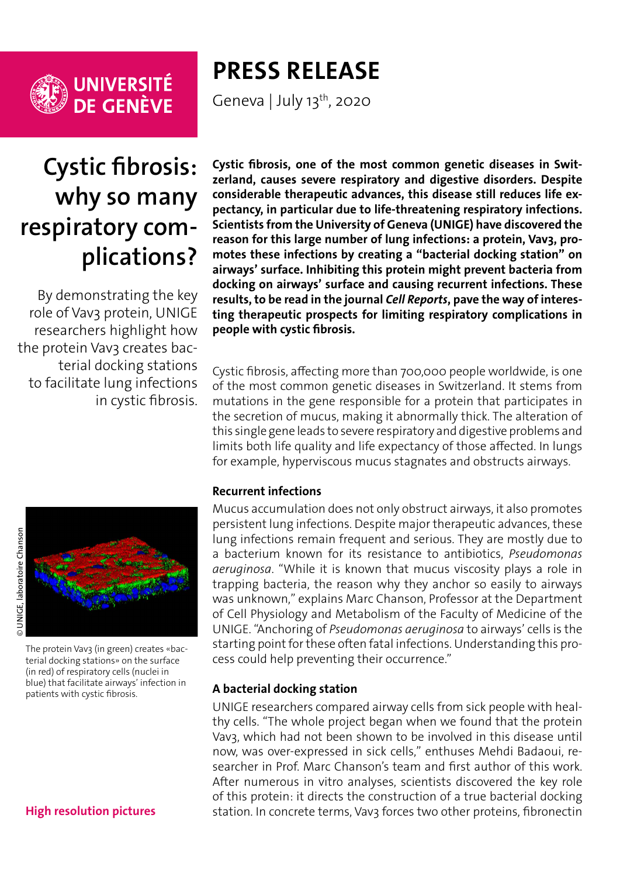

**UNIVERSITÉ<br>DE GENÈVE** 

## **PRESS RELEASE**

Geneva | July  $13<sup>th</sup>$ , 2020

# **Cystic fibrosis: why so many respiratory complications?**

By demonstrating the key role of Vav3 protein, UNIGE researchers highlight how the protein Vav<sub>3</sub> creates bacterial docking stations to facilitate lung infections in cystic fibrosis.

© UNIGE, laboratoire Chanson © UNIGE, laboratoire Chanson

The protein Vav<sub>3</sub> (in green) creates «bacterial docking stations» on the surface (in red) of respiratory cells (nuclei in blue) that facilitate airways' infection in patients with cystic fibrosis.

**Cystic fibrosis, one of the most common genetic diseases in Switzerland, causes severe respiratory and digestive disorders. Despite considerable therapeutic advances, this disease still reduces life expectancy, in particular due to life-threatening respiratory infections. Scientists from the University of Geneva (UNIGE) have discovered the reason for this large number of lung infections: a protein, Vav3, promotes these infections by creating a "bacterial docking station" on airways' surface. Inhibiting this protein might prevent bacteria from docking on airways' surface and causing recurrent infections. These results, to be read in the journal** *Cell Reports***, pave the way of interesting therapeutic prospects for limiting respiratory complications in people with cystic fibrosis.**

Cystic fibrosis, affecting more than 700,000 people worldwide, is one of the most common genetic diseases in Switzerland. It stems from mutations in the gene responsible for a protein that participates in the secretion of mucus, making it abnormally thick. The alteration of this single gene leads to severe respiratory and digestive problems and limits both life quality and life expectancy of those affected. In lungs for example, hyperviscous mucus stagnates and obstructs airways.

#### **Recurrent infections**

Mucus accumulation does not only obstruct airways, it also promotes persistent lung infections. Despite major therapeutic advances, these lung infections remain frequent and serious. They are mostly due to a bacterium known for its resistance to antibiotics, *Pseudomonas aeruginosa*. "While it is known that mucus viscosity plays a role in trapping bacteria, the reason why they anchor so easily to airways was unknown," explains Marc Chanson, Professor at the Department of Cell Physiology and Metabolism of the Faculty of Medicine of the UNIGE. "Anchoring of *Pseudomonas aeruginosa* to airways' cells is the starting point for these often fatal infections. Understanding this process could help preventing their occurrence."

#### **A bacterial docking station**

UNIGE researchers compared airway cells from sick people with healthy cells. "The whole project began when we found that the protein Vav3, which had not been shown to be involved in this disease until now, was over-expressed in sick cells," enthuses Mehdi Badaoui, researcher in Prof. Marc Chanson's team and first author of this work. After numerous in vitro analyses, scientists discovered the key role of this protein: it directs the construction of a true bacterial docking station. In concrete terms, Vav3 forces two other proteins, fibronectin